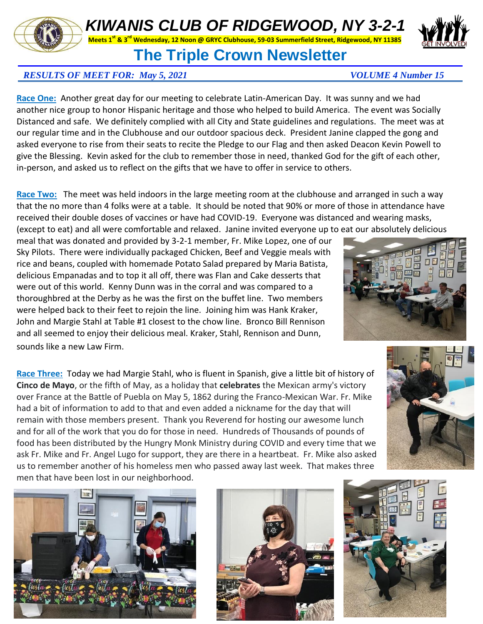## *KIWANIS CLUB OF RIDGEWOOD, NY 3-2-1*

**Meets 1st & 3rd Wednesday, 12 Noon @ GRYC Clubhouse, 59-03 Summerfield Street, Ridgewood, NY 11385**

## **The Triple Crown Newsletter**

## *RESULTS OF MEET FOR: May 5, 2021 VOLUME 4 Number 15*

**Race One:** Another great day for our meeting to celebrate Latin-American Day. It was sunny and we had another nice group to honor Hispanic heritage and those who helped to build America. The event was Socially Distanced and safe. We definitely complied with all City and State guidelines and regulations. The meet was at our regular time and in the Clubhouse and our outdoor spacious deck. President Janine clapped the gong and asked everyone to rise from their seats to recite the Pledge to our Flag and then asked Deacon Kevin Powell to give the Blessing. Kevin asked for the club to remember those in need, thanked God for the gift of each other, in-person, and asked us to reflect on the gifts that we have to offer in service to others.

**Race Two:** The meet was held indoors in the large meeting room at the clubhouse and arranged in such a way that the no more than 4 folks were at a table. It should be noted that 90% or more of those in attendance have received their double doses of vaccines or have had COVID-19. Everyone was distanced and wearing masks, (except to eat) and all were comfortable and relaxed. Janine invited everyone up to eat our absolutely delicious

meal that was donated and provided by 3-2-1 member, Fr. Mike Lopez, one of our Sky Pilots. There were individually packaged Chicken, Beef and Veggie meals with rice and beans, coupled with homemade Potato Salad prepared by Maria Batista, delicious Empanadas and to top it all off, there was Flan and Cake desserts that were out of this world. Kenny Dunn was in the corral and was compared to a thoroughbred at the Derby as he was the first on the buffet line. Two members were helped back to their feet to rejoin the line. Joining him was Hank Kraker, John and Margie Stahl at Table #1 closest to the chow line. Bronco Bill Rennison and all seemed to enjoy their delicious meal. Kraker, Stahl, Rennison and Dunn, sounds like a new Law Firm.

**Race Three:** Today we had Margie Stahl, who is fluent in Spanish, give a little bit of history of **Cinco de Mayo**, or the fifth of May, as a holiday that **celebrates** the Mexican army's victory over France at the Battle of Puebla on May 5, 1862 during the Franco-Mexican War. Fr. Mike had a bit of information to add to that and even added a nickname for the day that will remain with those members present. Thank you Reverend for hosting our awesome lunch and for all of the work that you do for those in need. Hundreds of Thousands of pounds of food has been distributed by the Hungry Monk Ministry during COVID and every time that we ask Fr. Mike and Fr. Angel Lugo for support, they are there in a heartbeat. Fr. Mike also asked us to remember another of his homeless men who passed away last week. That makes three men that have been lost in our neighborhood.













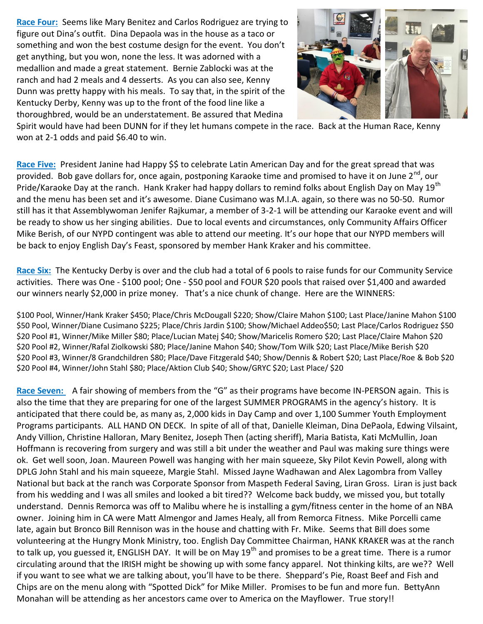**Race Four:** Seems like Mary Benitez and Carlos Rodriguez are trying to figure out Dina's outfit. Dina Depaola was in the house as a taco or something and won the best costume design for the event. You don't get anything, but you won, none the less. It was adorned with a medallion and made a great statement. Bernie Zablocki was at the ranch and had 2 meals and 4 desserts. As you can also see, Kenny Dunn was pretty happy with his meals. To say that, in the spirit of the Kentucky Derby, Kenny was up to the front of the food line like a thoroughbred, would be an understatement. Be assured that Medina



Spirit would have had been DUNN for if they let humans compete in the race. Back at the Human Race, Kenny won at 2-1 odds and paid \$6.40 to win.

Race Five: President Janine had Happy \$\$ to celebrate Latin American Day and for the great spread that was provided. Bob gave dollars for, once again, postponing Karaoke time and promised to have it on June  $2^{nd}$ , our Pride/Karaoke Day at the ranch. Hank Kraker had happy dollars to remind folks about English Day on May 19<sup>th</sup> and the menu has been set and it's awesome. Diane Cusimano was M.I.A. again, so there was no 50-50. Rumor still has it that Assemblywoman Jenifer Rajkumar, a member of 3-2-1 will be attending our Karaoke event and will be ready to show us her singing abilities. Due to local events and circumstances, only Community Affairs Officer Mike Berish, of our NYPD contingent was able to attend our meeting. It's our hope that our NYPD members will be back to enjoy English Day's Feast, sponsored by member Hank Kraker and his committee.

**Race Six:** The Kentucky Derby is over and the club had a total of 6 pools to raise funds for our Community Service activities. There was One - \$100 pool; One - \$50 pool and FOUR \$20 pools that raised over \$1,400 and awarded our winners nearly \$2,000 in prize money. That's a nice chunk of change. Here are the WINNERS:

\$100 Pool, Winner/Hank Kraker \$450; Place/Chris McDougall \$220; Show/Claire Mahon \$100; Last Place/Janine Mahon \$100 \$50 Pool, Winner/Diane Cusimano \$225; Place/Chris Jardin \$100; Show/Michael Addeo\$50; Last Place/Carlos Rodriguez \$50 \$20 Pool #1, Winner/Mike Miller \$80; Place/Lucian Matej \$40; Show/Maricelis Romero \$20; Last Place/Claire Mahon \$20 \$20 Pool #2, Winner/Rafal Ziolkowski \$80; Place/Janine Mahon \$40; Show/Tom Wilk \$20; Last Place/Mike Berish \$20 \$20 Pool #3, Winner/8 Grandchildren \$80; Place/Dave Fitzgerald \$40; Show/Dennis & Robert \$20; Last Place/Roe & Bob \$20 \$20 Pool #4, Winner/John Stahl \$80; Place/Aktion Club \$40; Show/GRYC \$20; Last Place/ \$20

**Race Seven:** A fair showing of members from the "G" as their programs have become IN-PERSON again. This is also the time that they are preparing for one of the largest SUMMER PROGRAMS in the agency's history. It is anticipated that there could be, as many as, 2,000 kids in Day Camp and over 1,100 Summer Youth Employment Programs participants. ALL HAND ON DECK. In spite of all of that, Danielle Kleiman, Dina DePaola, Edwing Vilsaint, Andy Villion, Christine Halloran, Mary Benitez, Joseph Then (acting sheriff), Maria Batista, Kati McMullin, Joan Hoffmann is recovering from surgery and was still a bit under the weather and Paul was making sure things were ok. Get well soon, Joan. Maureen Powell was hanging with her main squeeze, Sky Pilot Kevin Powell, along with DPLG John Stahl and his main squeeze, Margie Stahl. Missed Jayne Wadhawan and Alex Lagombra from Valley National but back at the ranch was Corporate Sponsor from Maspeth Federal Saving, Liran Gross. Liran is just back from his wedding and I was all smiles and looked a bit tired?? Welcome back buddy, we missed you, but totally understand. Dennis Remorca was off to Malibu where he is installing a gym/fitness center in the home of an NBA owner. Joining him in CA were Matt Almengor and James Healy, all from Remorca Fitness. Mike Porcelli came late, again but Bronco Bill Rennison was in the house and chatting with Fr. Mike. Seems that Bill does some volunteering at the Hungry Monk Ministry, too. English Day Committee Chairman, HANK KRAKER was at the ranch to talk up, you guessed it, ENGLISH DAY. It will be on May 19<sup>th</sup> and promises to be a great time. There is a rumor circulating around that the IRISH might be showing up with some fancy apparel. Not thinking kilts, are we?? Well if you want to see what we are talking about, you'll have to be there. Sheppard's Pie, Roast Beef and Fish and Chips are on the menu along with "Spotted Dick" for Mike Miller. Promises to be fun and more fun. BettyAnn Monahan will be attending as her ancestors came over to America on the Mayflower. True story!!